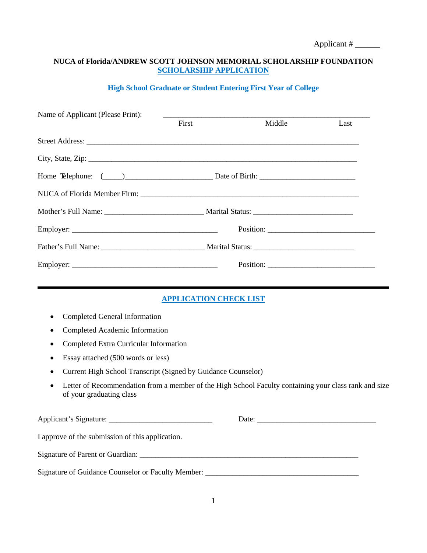### **NUCA of Florida/ANDREW SCOTT JOHNSON MEMORIAL SCHOLARSHIP FOUNDATION SCHOLARSHIP APPLICATION**

#### **High School Graduate or Student Entering First Year of College**

| Name of Applicant (Please Print): |       |        |      |
|-----------------------------------|-------|--------|------|
|                                   | First | Middle | Last |
|                                   |       |        |      |
|                                   |       |        |      |
|                                   |       |        |      |
|                                   |       |        |      |
|                                   |       |        |      |
|                                   |       |        |      |
|                                   |       |        |      |
|                                   |       |        |      |
|                                   |       |        |      |

## **APPLICATION CHECK LIST**

- Completed General Information
- Completed Academic Information
- Completed Extra Curricular Information
- Essay attached (500 words or less)
- Current High School Transcript (Signed by Guidance Counselor)
- Letter of Recommendation from a member of the High School Faculty containing your class rank and size of your graduating class

| Applicant's Signature:                                                           |  |
|----------------------------------------------------------------------------------|--|
| I approve of the submission of this application.                                 |  |
| Signature of Parent or Guardian:                                                 |  |
| Signature of Guidance Counselor or Faculty Member: _____________________________ |  |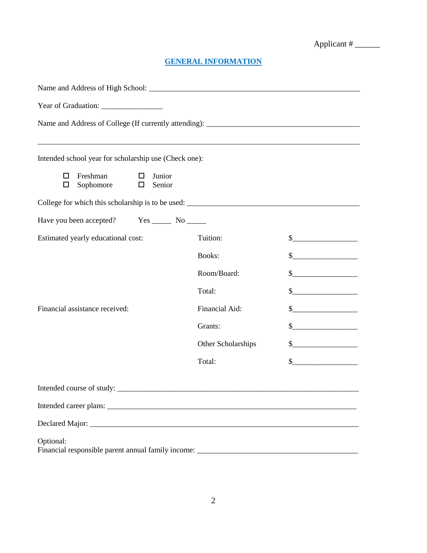# **GENERAL INFORMATION**

| <u> 1989 - Johann Stoff, deutscher Stoff, der Stoff, der Stoff, der Stoff, der Stoff, der Stoff, der Stoff, der S</u> |                    |                                                                                                                                                                                                                                                                                                                                                     |  |
|-----------------------------------------------------------------------------------------------------------------------|--------------------|-----------------------------------------------------------------------------------------------------------------------------------------------------------------------------------------------------------------------------------------------------------------------------------------------------------------------------------------------------|--|
| Intended school year for scholarship use (Check one):                                                                 |                    |                                                                                                                                                                                                                                                                                                                                                     |  |
| Freshman<br>Junior<br>0<br>□<br>Sophomore<br>Senior<br>◻<br>□                                                         |                    |                                                                                                                                                                                                                                                                                                                                                     |  |
|                                                                                                                       |                    |                                                                                                                                                                                                                                                                                                                                                     |  |
| Have you been accepted? Yes _________ No _______                                                                      |                    |                                                                                                                                                                                                                                                                                                                                                     |  |
| Estimated yearly educational cost:                                                                                    | Tuition:           | $\frac{\text{S}}{\text{S}}$                                                                                                                                                                                                                                                                                                                         |  |
|                                                                                                                       | Books:             | $\begin{picture}(20,10) \put(0,0){\line(1,0){10}} \put(15,0){\line(1,0){10}} \put(15,0){\line(1,0){10}} \put(15,0){\line(1,0){10}} \put(15,0){\line(1,0){10}} \put(15,0){\line(1,0){10}} \put(15,0){\line(1,0){10}} \put(15,0){\line(1,0){10}} \put(15,0){\line(1,0){10}} \put(15,0){\line(1,0){10}} \put(15,0){\line(1,0){10}} \put(15,0){\line(1$ |  |
|                                                                                                                       | Room/Board:        | $\quad \  \  \, {\bf S} \underline{\hspace{1.5cm}} \hspace{1.5cm} \underline{\hspace{1.5cm}}$                                                                                                                                                                                                                                                       |  |
|                                                                                                                       | Total:             | $\frac{1}{2}$                                                                                                                                                                                                                                                                                                                                       |  |
| Financial assistance received:                                                                                        | Financial Aid:     | s                                                                                                                                                                                                                                                                                                                                                   |  |
|                                                                                                                       | Grants:            | $\frac{1}{2}$                                                                                                                                                                                                                                                                                                                                       |  |
|                                                                                                                       | Other Scholarships | $\frac{1}{2}$                                                                                                                                                                                                                                                                                                                                       |  |
|                                                                                                                       | Total:             | $\frac{\text{S}}{\text{S}}$                                                                                                                                                                                                                                                                                                                         |  |
| Intended course of study:                                                                                             |                    |                                                                                                                                                                                                                                                                                                                                                     |  |
|                                                                                                                       |                    |                                                                                                                                                                                                                                                                                                                                                     |  |
|                                                                                                                       |                    |                                                                                                                                                                                                                                                                                                                                                     |  |
| Optional:                                                                                                             |                    |                                                                                                                                                                                                                                                                                                                                                     |  |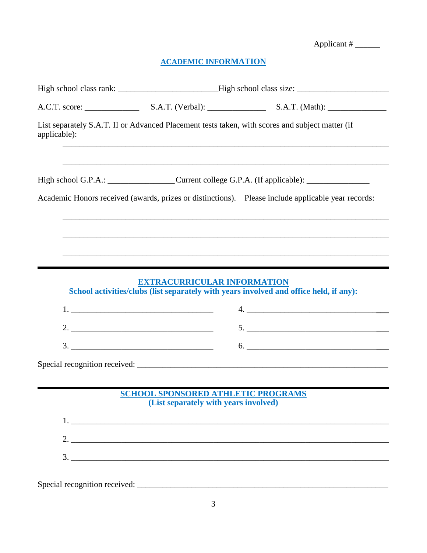# **ACADEMIC INFORMATION**

| applicable): |                                                                                    | List separately S.A.T. II or Advanced Placement tests taken, with scores and subject matter (if     |  |
|--------------|------------------------------------------------------------------------------------|-----------------------------------------------------------------------------------------------------|--|
|              |                                                                                    | High school G.P.A.: ___________________Current college G.P.A. (If applicable): ____________________ |  |
|              |                                                                                    | Academic Honors received (awards, prizes or distinctions). Please include applicable year records:  |  |
|              |                                                                                    | ,我们也不能在这里的时候,我们也不能在这里的时候,我们也不能会在这里的时候,我们也不能会在这里的时候,我们也不能会在这里的时候,我们也不能会在这里的时候,我们也不                   |  |
|              |                                                                                    |                                                                                                     |  |
|              | <b>EXTRACURRICULAR INFORMATION</b>                                                 | School activities/clubs (list separately with years involved and office held, if any):              |  |
|              |                                                                                    |                                                                                                     |  |
|              |                                                                                    |                                                                                                     |  |
|              | $\begin{array}{c}\n3. \quad \textcolor{blue}{\textbf{12.12}}\n\end{array}$         |                                                                                                     |  |
|              |                                                                                    |                                                                                                     |  |
|              | <b>SCHOOL SPONSORED ATHLETIC PROGRAMS</b><br>(List separately with years involved) |                                                                                                     |  |
|              |                                                                                    | $1.$ $\overline{\phantom{a}}$                                                                       |  |
|              |                                                                                    | 2.                                                                                                  |  |
|              | $\frac{3}{2}$                                                                      |                                                                                                     |  |
|              |                                                                                    |                                                                                                     |  |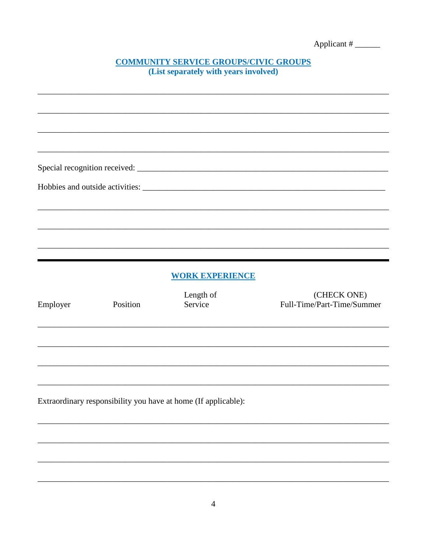| Applicant# |  |
|------------|--|
|            |  |

# **COMMUNITY SERVICE GROUPS/CIVIC GROUPS**<br>(List separately with years involved)

|          |          | <b>WORK EXPERIENCE</b>                                         |                                           |
|----------|----------|----------------------------------------------------------------|-------------------------------------------|
| Employer | Position | Length of<br>Service                                           | (CHECK ONE)<br>Full-Time/Part-Time/Summer |
|          |          |                                                                |                                           |
|          |          |                                                                |                                           |
|          |          |                                                                |                                           |
|          |          | Extraordinary responsibility you have at home (If applicable): |                                           |
|          |          |                                                                |                                           |
|          |          |                                                                |                                           |
|          |          |                                                                |                                           |
|          |          |                                                                |                                           |